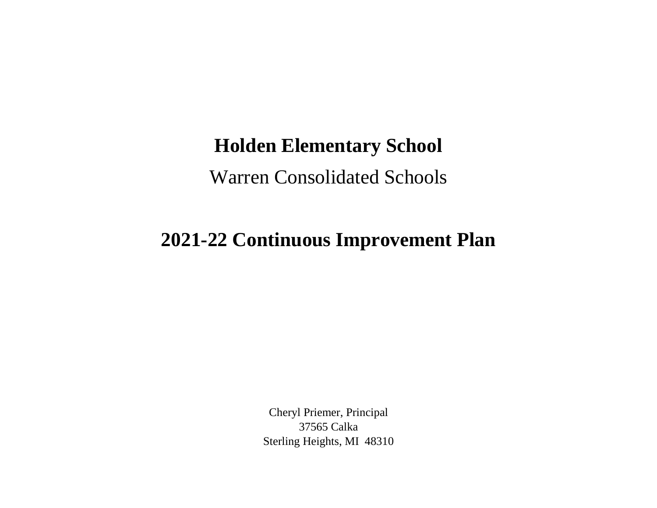## **Holden Elementary School**

Warren Consolidated Schools

## **2021-22 Continuous Improvement Plan**

Cheryl Priemer, Principal 37565 Calka Sterling Heights, MI 48310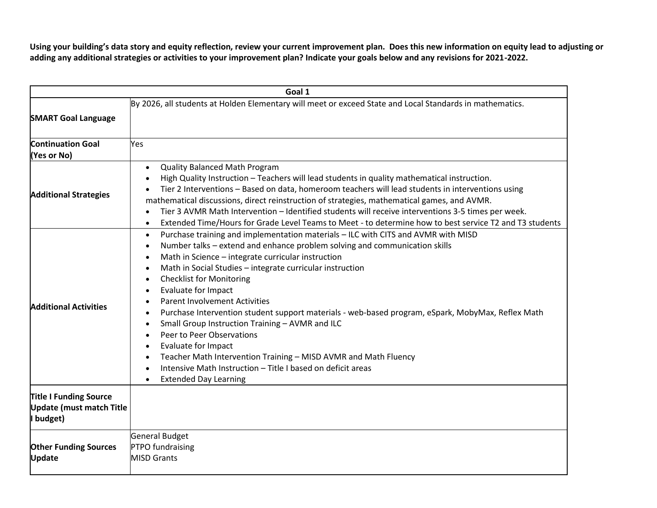**Using your building's data story and equity reflection, review your current improvement plan. Does this new information on equity lead to adjusting or adding any additional strategies or activities to your improvement plan? Indicate your goals below and any revisions for 2021-2022.**

| Goal 1                                                                        |                                                                                                                                                                                                                                                                                                                                                                                                                                                                                                                                                                                                                                                                                                                                                                                                                                                                                                                                             |  |
|-------------------------------------------------------------------------------|---------------------------------------------------------------------------------------------------------------------------------------------------------------------------------------------------------------------------------------------------------------------------------------------------------------------------------------------------------------------------------------------------------------------------------------------------------------------------------------------------------------------------------------------------------------------------------------------------------------------------------------------------------------------------------------------------------------------------------------------------------------------------------------------------------------------------------------------------------------------------------------------------------------------------------------------|--|
| <b>SMART Goal Language</b>                                                    | By 2026, all students at Holden Elementary will meet or exceed State and Local Standards in mathematics.                                                                                                                                                                                                                                                                                                                                                                                                                                                                                                                                                                                                                                                                                                                                                                                                                                    |  |
| <b>Continuation Goal</b><br>(Yes or No)                                       | Yes                                                                                                                                                                                                                                                                                                                                                                                                                                                                                                                                                                                                                                                                                                                                                                                                                                                                                                                                         |  |
| <b>Additional Strategies</b>                                                  | <b>Quality Balanced Math Program</b><br>$\bullet$<br>High Quality Instruction - Teachers will lead students in quality mathematical instruction.<br>$\bullet$<br>Tier 2 Interventions - Based on data, homeroom teachers will lead students in interventions using<br>mathematical discussions, direct reinstruction of strategies, mathematical games, and AVMR.<br>Tier 3 AVMR Math Intervention - Identified students will receive interventions 3-5 times per week.<br>$\bullet$<br>Extended Time/Hours for Grade Level Teams to Meet - to determine how to best service T2 and T3 students<br>$\bullet$                                                                                                                                                                                                                                                                                                                                |  |
| <b>Additional Activities</b>                                                  | Purchase training and implementation materials - ILC with CITS and AVMR with MISD<br>$\bullet$<br>Number talks - extend and enhance problem solving and communication skills<br>$\bullet$<br>Math in Science - integrate curricular instruction<br>$\bullet$<br>Math in Social Studies - integrate curricular instruction<br>$\bullet$<br><b>Checklist for Monitoring</b><br>$\bullet$<br>Evaluate for Impact<br>$\bullet$<br><b>Parent Involvement Activities</b><br>Purchase Intervention student support materials - web-based program, eSpark, MobyMax, Reflex Math<br>$\bullet$<br>Small Group Instruction Training - AVMR and ILC<br>$\bullet$<br>Peer to Peer Observations<br>$\bullet$<br>Evaluate for Impact<br>$\bullet$<br>Teacher Math Intervention Training - MISD AVMR and Math Fluency<br>$\bullet$<br>Intensive Math Instruction - Title I based on deficit areas<br>$\bullet$<br><b>Extended Day Learning</b><br>$\bullet$ |  |
| <b>Title I Funding Source</b><br><b>Update (must match Title</b><br>I budget) |                                                                                                                                                                                                                                                                                                                                                                                                                                                                                                                                                                                                                                                                                                                                                                                                                                                                                                                                             |  |
| <b>Other Funding Sources</b><br>Update                                        | General Budget<br><b>PTPO</b> fundraising<br><b>MISD Grants</b>                                                                                                                                                                                                                                                                                                                                                                                                                                                                                                                                                                                                                                                                                                                                                                                                                                                                             |  |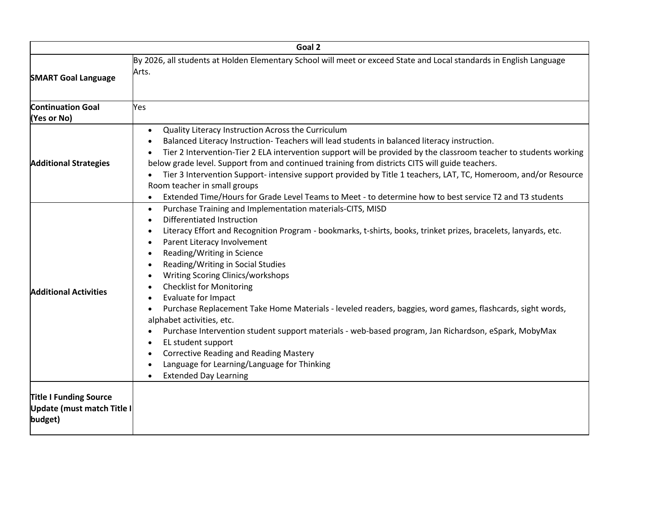|                                                                        | Goal 2                                                                                                                                                                                                                                                                                                                                                                                                                                                                                                                                                                                                                                                                                                                                                                                                                                                                                                         |
|------------------------------------------------------------------------|----------------------------------------------------------------------------------------------------------------------------------------------------------------------------------------------------------------------------------------------------------------------------------------------------------------------------------------------------------------------------------------------------------------------------------------------------------------------------------------------------------------------------------------------------------------------------------------------------------------------------------------------------------------------------------------------------------------------------------------------------------------------------------------------------------------------------------------------------------------------------------------------------------------|
| <b>SMART Goal Language</b>                                             | By 2026, all students at Holden Elementary School will meet or exceed State and Local standards in English Language<br>Arts.                                                                                                                                                                                                                                                                                                                                                                                                                                                                                                                                                                                                                                                                                                                                                                                   |
| <b>Continuation Goal</b><br>(Yes or No)                                | Yes                                                                                                                                                                                                                                                                                                                                                                                                                                                                                                                                                                                                                                                                                                                                                                                                                                                                                                            |
| <b>Additional Strategies</b>                                           | Quality Literacy Instruction Across the Curriculum<br>$\bullet$<br>Balanced Literacy Instruction- Teachers will lead students in balanced literacy instruction.<br>Tier 2 Intervention-Tier 2 ELA intervention support will be provided by the classroom teacher to students working<br>below grade level. Support from and continued training from districts CITS will guide teachers.<br>Tier 3 Intervention Support- intensive support provided by Title 1 teachers, LAT, TC, Homeroom, and/or Resource<br>Room teacher in small groups<br>Extended Time/Hours for Grade Level Teams to Meet - to determine how to best service T2 and T3 students<br>$\bullet$                                                                                                                                                                                                                                             |
| <b>Additional Activities</b>                                           | Purchase Training and Implementation materials-CITS, MISD<br>$\bullet$<br>Differentiated Instruction<br>$\bullet$<br>Literacy Effort and Recognition Program - bookmarks, t-shirts, books, trinket prizes, bracelets, lanyards, etc.<br>Parent Literacy Involvement<br>$\bullet$<br>Reading/Writing in Science<br>$\bullet$<br>Reading/Writing in Social Studies<br>$\bullet$<br>Writing Scoring Clinics/workshops<br><b>Checklist for Monitoring</b><br>Evaluate for Impact<br>Purchase Replacement Take Home Materials - leveled readers, baggies, word games, flashcards, sight words,<br>alphabet activities, etc.<br>Purchase Intervention student support materials - web-based program, Jan Richardson, eSpark, MobyMax<br>EL student support<br><b>Corrective Reading and Reading Mastery</b><br>$\bullet$<br>Language for Learning/Language for Thinking<br><b>Extended Day Learning</b><br>$\bullet$ |
| <b>Title I Funding Source</b><br>Update (must match Title I<br>budget) |                                                                                                                                                                                                                                                                                                                                                                                                                                                                                                                                                                                                                                                                                                                                                                                                                                                                                                                |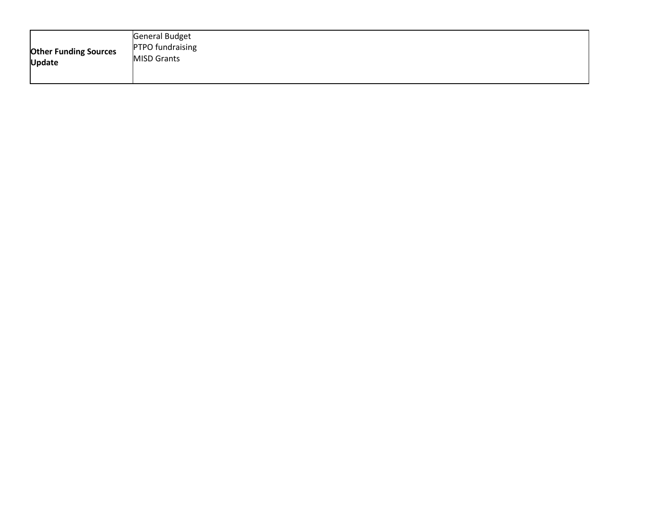| <b>Other Funding Sources</b><br><b>Update</b> | <b>General Budget</b><br><b>PTPO</b> fundraising<br><b>MISD Grants</b> |
|-----------------------------------------------|------------------------------------------------------------------------|
|-----------------------------------------------|------------------------------------------------------------------------|